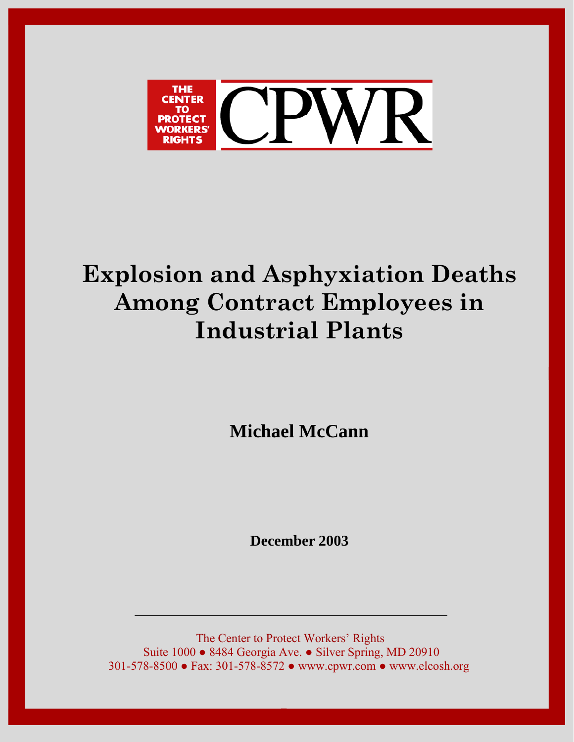

# **Explosion and Asphyxiation Deaths Among Contract Employees in Industrial Plants**

**Michael McCann**

**December 2003**

The Center to Protect Workers' Rights Suite 1000 ● 8484 Georgia Ave. ● Silver Spring, MD 20910 301-578-8500 ● Fax: 301-578-8572 ● www.cpwr.com ● www.elcosh.org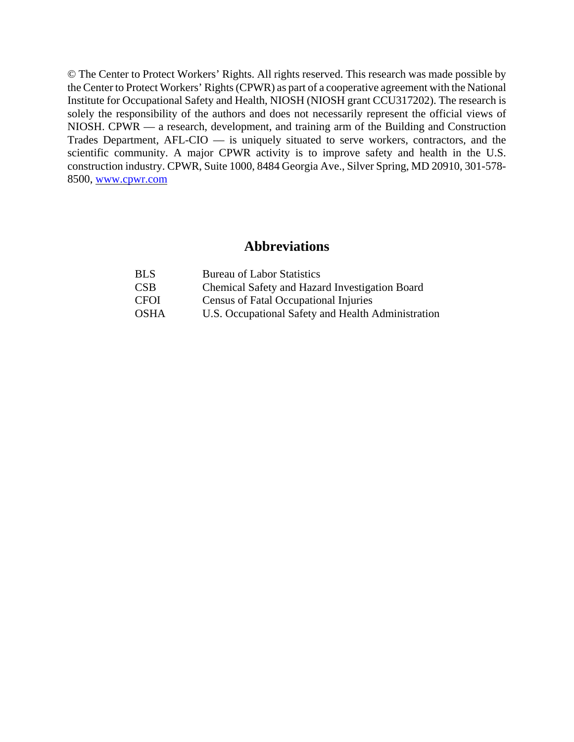© The Center to Protect Workers' Rights. All rights reserved. This research was made possible by the Center to Protect Workers' Rights (CPWR) as part of a cooperative agreement with the National Institute for Occupational Safety and Health, NIOSH (NIOSH grant CCU317202). The research is solely the responsibility of the authors and does not necessarily represent the official views of NIOSH. CPWR — a research, development, and training arm of the Building and Construction Trades Department, AFL-CIO — is uniquely situated to serve workers, contractors, and the scientific community. A major CPWR activity is to improve safety and health in the U.S. construction industry. CPWR, Suite 1000, 8484 Georgia Ave., Silver Spring, MD 20910, 301-578- 8500, www.cpwr.com

## **Abbreviations**

| BLS  | <b>Bureau of Labor Statistics</b>                  |
|------|----------------------------------------------------|
| CSB  | Chemical Safety and Hazard Investigation Board     |
| CFOI | Census of Fatal Occupational Injuries              |
| OSHA | U.S. Occupational Safety and Health Administration |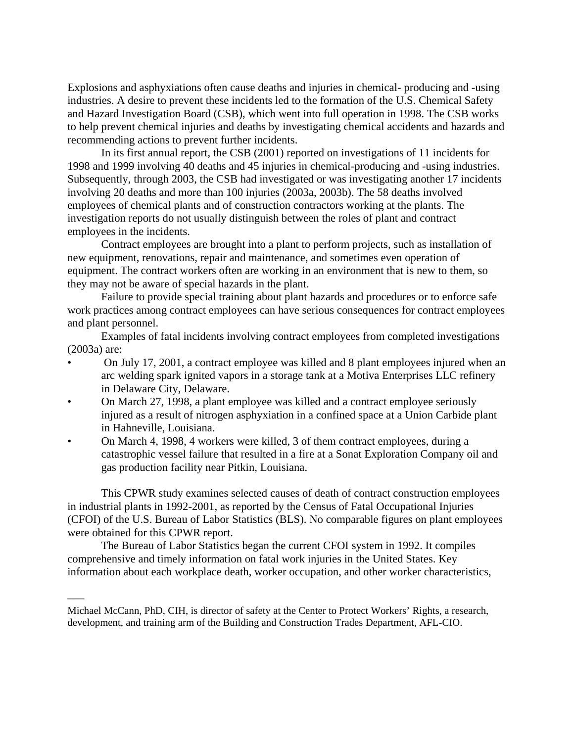Explosions and asphyxiations often cause deaths and injuries in chemical- producing and -using industries. A desire to prevent these incidents led to the formation of the U.S. Chemical Safety and Hazard Investigation Board (CSB), which went into full operation in 1998. The CSB works to help prevent chemical injuries and deaths by investigating chemical accidents and hazards and recommending actions to prevent further incidents.

In its first annual report, the CSB (2001) reported on investigations of 11 incidents for 1998 and 1999 involving 40 deaths and 45 injuries in chemical-producing and -using industries. Subsequently, through 2003, the CSB had investigated or was investigating another 17 incidents involving 20 deaths and more than 100 injuries (2003a, 2003b). The 58 deaths involved employees of chemical plants and of construction contractors working at the plants. The investigation reports do not usually distinguish between the roles of plant and contract employees in the incidents.

Contract employees are brought into a plant to perform projects, such as installation of new equipment, renovations, repair and maintenance, and sometimes even operation of equipment. The contract workers often are working in an environment that is new to them, so they may not be aware of special hazards in the plant.

Failure to provide special training about plant hazards and procedures or to enforce safe work practices among contract employees can have serious consequences for contract employees and plant personnel.

Examples of fatal incidents involving contract employees from completed investigations (2003a) are:

- On July 17, 2001, a contract employee was killed and 8 plant employees injured when an arc welding spark ignited vapors in a storage tank at a Motiva Enterprises LLC refinery in Delaware City, Delaware.
- On March 27, 1998, a plant employee was killed and a contract employee seriously injured as a result of nitrogen asphyxiation in a confined space at a Union Carbide plant in Hahneville, Louisiana.
- On March 4, 1998, 4 workers were killed, 3 of them contract employees, during a catastrophic vessel failure that resulted in a fire at a Sonat Exploration Company oil and gas production facility near Pitkin, Louisiana.

This CPWR study examines selected causes of death of contract construction employees in industrial plants in 1992-2001, as reported by the Census of Fatal Occupational Injuries (CFOI) of the U.S. Bureau of Labor Statistics (BLS). No comparable figures on plant employees were obtained for this CPWR report.

The Bureau of Labor Statistics began the current CFOI system in 1992. It compiles comprehensive and timely information on fatal work injuries in the United States. Key information about each workplace death, worker occupation, and other worker characteristics,

–––

Michael McCann, PhD, CIH, is director of safety at the Center to Protect Workers' Rights, a research, development, and training arm of the Building and Construction Trades Department, AFL-CIO.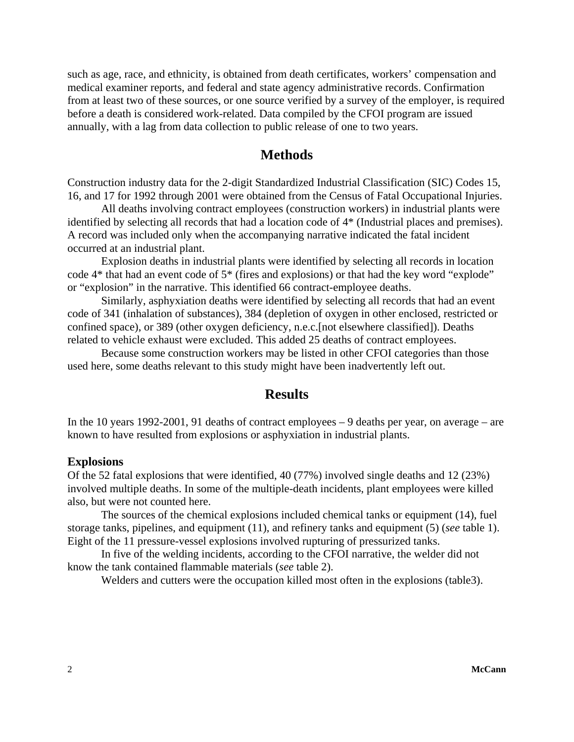such as age, race, and ethnicity, is obtained from death certificates, workers' compensation and medical examiner reports, and federal and state agency administrative records. Confirmation from at least two of these sources, or one source verified by a survey of the employer, is required before a death is considered work-related. Data compiled by the CFOI program are issued annually, with a lag from data collection to public release of one to two years.

## **Methods**

Construction industry data for the 2-digit Standardized Industrial Classification (SIC) Codes 15, 16, and 17 for 1992 through 2001 were obtained from the Census of Fatal Occupational Injuries.

All deaths involving contract employees (construction workers) in industrial plants were identified by selecting all records that had a location code of 4\* (Industrial places and premises). A record was included only when the accompanying narrative indicated the fatal incident occurred at an industrial plant.

Explosion deaths in industrial plants were identified by selecting all records in location code 4\* that had an event code of 5\* (fires and explosions) or that had the key word "explode" or "explosion" in the narrative. This identified 66 contract-employee deaths.

Similarly, asphyxiation deaths were identified by selecting all records that had an event code of 341 (inhalation of substances), 384 (depletion of oxygen in other enclosed, restricted or confined space), or 389 (other oxygen deficiency, n.e.c.[not elsewhere classified]). Deaths related to vehicle exhaust were excluded. This added 25 deaths of contract employees.

Because some construction workers may be listed in other CFOI categories than those used here, some deaths relevant to this study might have been inadvertently left out.

### **Results**

In the 10 years 1992-2001, 91 deaths of contract employees – 9 deaths per year, on average – are known to have resulted from explosions or asphyxiation in industrial plants.

#### **Explosions**

Of the 52 fatal explosions that were identified, 40 (77%) involved single deaths and 12 (23%) involved multiple deaths. In some of the multiple-death incidents, plant employees were killed also, but were not counted here.

The sources of the chemical explosions included chemical tanks or equipment (14), fuel storage tanks, pipelines, and equipment (11), and refinery tanks and equipment (5) (*see* table 1). Eight of the 11 pressure-vessel explosions involved rupturing of pressurized tanks.

In five of the welding incidents, according to the CFOI narrative, the welder did not know the tank contained flammable materials (*see* table 2).

Welders and cutters were the occupation killed most often in the explosions (table3).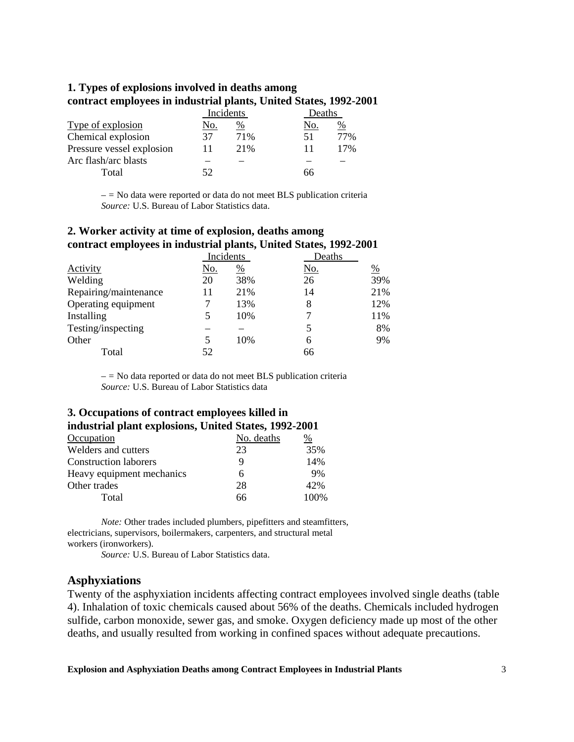#### **1. Types of explosions involved in deaths among contract employees in industrial plants, United States, 1992-2001**

|                           | Incidents |      | Deaths |               |
|---------------------------|-----------|------|--------|---------------|
| Type of explosion         | No.       | $\%$ | No.    | $\frac{0}{0}$ |
| Chemical explosion        | 37        | 71%  | 51     | 77%           |
| Pressure vessel explosion |           | 21%  |        | 17%           |
| Arc flash/arc blasts      |           |      |        |               |
| Total                     | 52        |      | 66     |               |

*– =* No data were reported or data do not meet BLS publication criteria *Source:* U.S. Bureau of Labor Statistics data.

| 2. Worker activity at time of explosion, deaths among             |  |
|-------------------------------------------------------------------|--|
| contract employees in industrial plants, United States, 1992-2001 |  |

|                       | Incidents  |               | Deaths     |               |
|-----------------------|------------|---------------|------------|---------------|
| Activity              | <u>No.</u> | $\frac{0}{0}$ | <u>No.</u> | $\frac{0}{0}$ |
| Welding               | 20         | 38%           | 26         | 39%           |
| Repairing/maintenance | 11         | 21%           | 14         | 21%           |
| Operating equipment   | 7          | 13%           | 8          | 12%           |
| Installing            | 5          | 10%           |            | 11%           |
| Testing/inspecting    |            |               | 5          | 8%            |
| Other                 | 5          | 10%           | 6          | 9%            |
| Total                 | 52         |               | 66         |               |

*– =* No data reported or data do not meet BLS publication criteria *Source:* U.S. Bureau of Labor Statistics data

#### **3. Occupations of contract employees killed in industrial plant explosions, United States, 1992-2001**

| Occupation                   | No. deaths | %    |
|------------------------------|------------|------|
| Welders and cutters          | 23         | 35%  |
| <b>Construction laborers</b> | 9          | 14%  |
| Heavy equipment mechanics    | 6          | 9%   |
| Other trades                 | 28         | 42%  |
| Total                        | 66         | 100% |

*Note:* Other trades included plumbers, pipefitters and steamfitters, electricians, supervisors, boilermakers, carpenters, and structural metal workers (ironworkers).

*Source:* U.S. Bureau of Labor Statistics data.

#### **Asphyxiations**

Twenty of the asphyxiation incidents affecting contract employees involved single deaths (table 4). Inhalation of toxic chemicals caused about 56% of the deaths. Chemicals included hydrogen sulfide, carbon monoxide, sewer gas, and smoke. Oxygen deficiency made up most of the other deaths, and usually resulted from working in confined spaces without adequate precautions.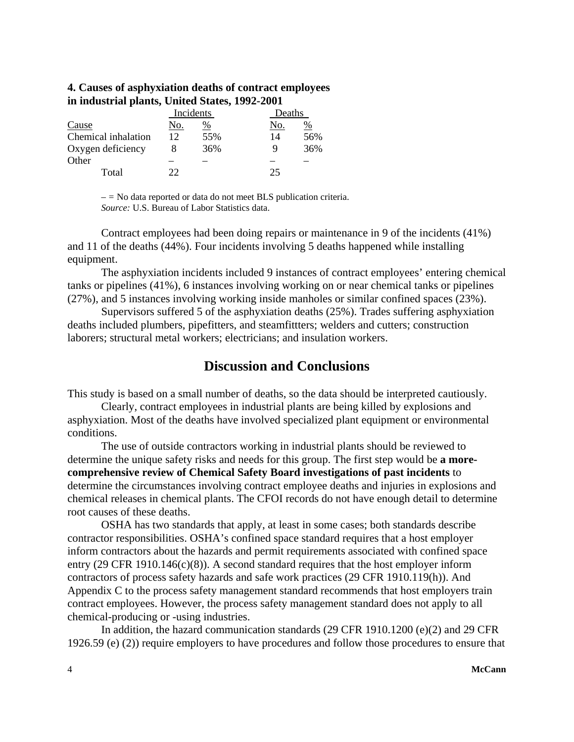#### **4. Causes of asphyxiation deaths of contract employees in industrial plants, United States, 1992-2001**

|                     | Incidents |                 | Deaths |     |
|---------------------|-----------|-----------------|--------|-----|
| Cause               | No.       | $\frac{\%}{\%}$ | No.    | %   |
| Chemical inhalation | 12        | 55%             | 14     | 56% |
| Oxygen deficiency   |           | 36%             |        | 36% |
| Other               |           |                 |        |     |
| Total               | つつ        |                 | 25     |     |

*– =* No data reported or data do not meet BLS publication criteria. *Source:* U.S. Bureau of Labor Statistics data.

Contract employees had been doing repairs or maintenance in 9 of the incidents (41%) and 11 of the deaths (44%). Four incidents involving 5 deaths happened while installing equipment.

The asphyxiation incidents included 9 instances of contract employees' entering chemical tanks or pipelines (41%), 6 instances involving working on or near chemical tanks or pipelines (27%), and 5 instances involving working inside manholes or similar confined spaces (23%).

Supervisors suffered 5 of the asphyxiation deaths (25%). Trades suffering asphyxiation deaths included plumbers, pipefitters, and steamfittters; welders and cutters; construction laborers; structural metal workers; electricians; and insulation workers.

## **Discussion and Conclusions**

This study is based on a small number of deaths, so the data should be interpreted cautiously.

Clearly, contract employees in industrial plants are being killed by explosions and asphyxiation. Most of the deaths have involved specialized plant equipment or environmental conditions.

The use of outside contractors working in industrial plants should be reviewed to determine the unique safety risks and needs for this group. The first step would be **a morecomprehensive review of Chemical Safety Board investigations of past incidents** to determine the circumstances involving contract employee deaths and injuries in explosions and chemical releases in chemical plants. The CFOI records do not have enough detail to determine root causes of these deaths.

OSHA has two standards that apply, at least in some cases; both standards describe contractor responsibilities. OSHA's confined space standard requires that a host employer inform contractors about the hazards and permit requirements associated with confined space entry (29 CFR 1910.146(c)(8)). A second standard requires that the host employer inform contractors of process safety hazards and safe work practices (29 CFR 1910.119(h)). And Appendix C to the process safety management standard recommends that host employers train contract employees. However, the process safety management standard does not apply to all chemical-producing or -using industries.

In addition, the hazard communication standards (29 CFR 1910.1200 (e)(2) and 29 CFR 1926.59 (e) (2)) require employers to have procedures and follow those procedures to ensure that